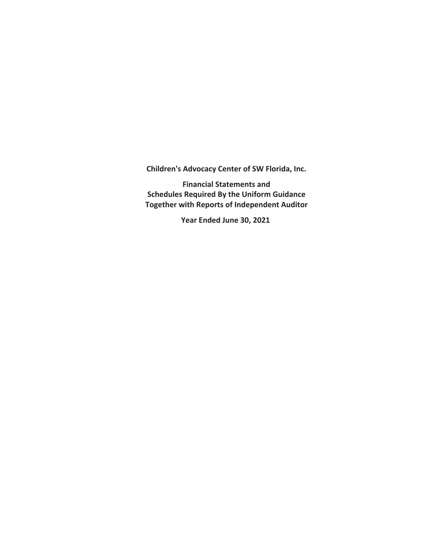**Children's Advocacy Center of SW Florida, Inc.**

**Financial Statements and Schedules Required By the Uniform Guidance Together with Reports of Independent Auditor**

**Year Ended June 30, 2021**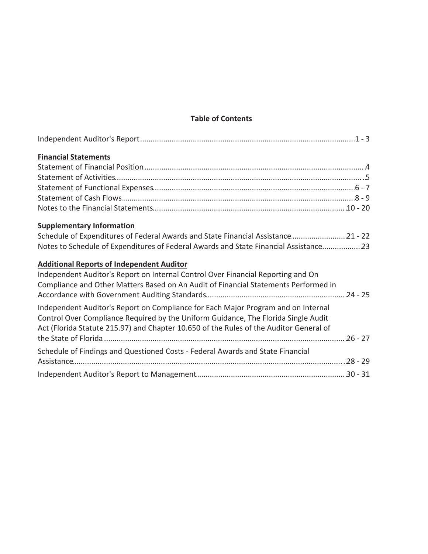## **Table of Contents**

| <b>Financial Statements</b>                                                                                                                                             |
|-------------------------------------------------------------------------------------------------------------------------------------------------------------------------|
|                                                                                                                                                                         |
|                                                                                                                                                                         |
|                                                                                                                                                                         |
|                                                                                                                                                                         |
|                                                                                                                                                                         |
| <b>Supplementary Information</b>                                                                                                                                        |
| Schedule of Expenditures of Federal Awards and State Financial Assistance21 - 22                                                                                        |
| Notes to Schedule of Expenditures of Federal Awards and State Financial Assistance23                                                                                    |
| <b>Additional Reports of Independent Auditor</b>                                                                                                                        |
| Independent Auditor's Report on Internal Control Over Financial Reporting and On                                                                                        |
| Compliance and Other Matters Based on An Audit of Financial Statements Performed in                                                                                     |
|                                                                                                                                                                         |
| Independent Auditor's Report on Compliance for Each Major Program and on Internal<br>Control Over Compliance Required by the Uniform Guidance, The Florida Single Audit |
| Act (Florida Statute 215.97) and Chapter 10.650 of the Rules of the Auditor General of                                                                                  |
|                                                                                                                                                                         |
| Schedule of Findings and Questioned Costs - Federal Awards and State Financial                                                                                          |
|                                                                                                                                                                         |
|                                                                                                                                                                         |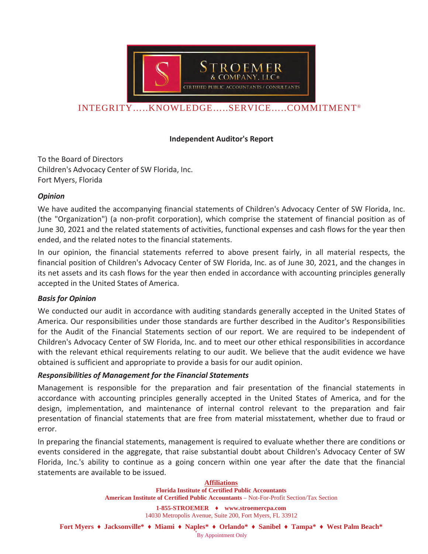

# INTEGRITY…..KNOWLEDGE…..SERVICE…..COMMITMENT®

## **Independent Auditor's Report**

To the Board of Directors Children's Advocacy Center of SW Florida, Inc. Fort Myers, Florida

## *Opinion*

We have audited the accompanying financial statements of Children's Advocacy Center of SW Florida, Inc. (the "Organization") (a non-profit corporation), which comprise the statement of financial position as of June 30, 2021 and the related statements of activities, functional expenses and cash flows for the year then ended, and the related notes to the financial statements.

In our opinion, the financial statements referred to above present fairly, in all material respects, the financial position of Children's Advocacy Center of SW Florida, Inc. as of June 30, 2021, and the changes in its net assets and its cash flows for the year then ended in accordance with accounting principles generally accepted in the United States of America.

## *Basis for Opinion*

We conducted our audit in accordance with auditing standards generally accepted in the United States of America. Our responsibilities under those standards are further described in the Auditor's Responsibilities for the Audit of the Financial Statements section of our report. We are required to be independent of Children's Advocacy Center of SW Florida, Inc. and to meet our other ethical responsibilities in accordance with the relevant ethical requirements relating to our audit. We believe that the audit evidence we have obtained is sufficient and appropriate to provide a basis for our audit opinion.

## *Responsibilities of Management for the Financial Statements*

Management is responsible for the preparation and fair presentation of the financial statements in accordance with accounting principles generally accepted in the United States of America, and for the design, implementation, and maintenance of internal control relevant to the preparation and fair presentation of financial statements that are free from material misstatement, whether due to fraud or error.

In preparing the financial statements, management is required to evaluate whether there are conditions or events considered in the aggregate, that raise substantial doubt about Children's Advocacy Center of SW Florida, Inc.'s ability to continue as a going concern within one year after the date that the financial statements are available to be issued.

**Fort Myers Ƈ Jacksonville\* Ƈ Miami Ƈ Naples\* Ƈ Orlando\* Ƈ Sanibel Ƈ Tampa\* Ƈ West Palm Beach\* \***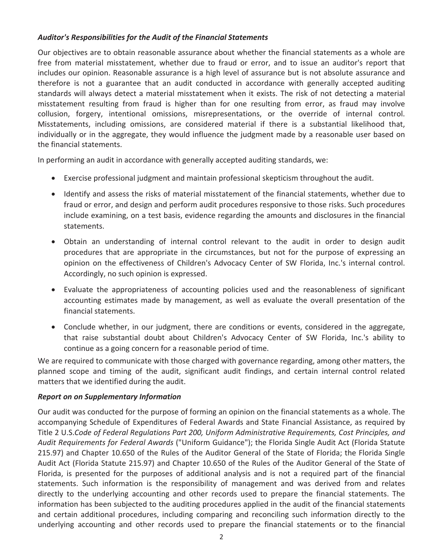## *Auditor's Responsibilities for the Audit of the Financial Statements*

Our objectives are to obtain reasonable assurance about whether the financial statements as a whole are free from material misstatement, whether due to fraud or error, and to issue an auditor's report that includes our opinion. Reasonable assurance is a high level of assurance but is not absolute assurance and therefore is not a guarantee that an audit conducted in accordance with generally accepted auditing standards will always detect a material misstatement when it exists. The risk of not detecting a material misstatement resulting from fraud is higher than for one resulting from error, as fraud may involve collusion, forgery, intentional omissions, misrepresentations, or the override of internal control. Misstatements, including omissions, are considered material if there is a substantial likelihood that, individually or in the aggregate, they would influence the judgment made by a reasonable user based on the financial statements.

In performing an audit in accordance with generally accepted auditing standards, we:

- Exercise professional judgment and maintain professional skepticism throughout the audit.
- Identify and assess the risks of material misstatement of the financial statements, whether due to fraud or error, and design and perform audit procedures responsive to those risks. Such procedures include examining, on a test basis, evidence regarding the amounts and disclosures in the financial statements.
- Obtain an understanding of internal control relevant to the audit in order to design audit procedures that are appropriate in the circumstances, but not for the purpose of expressing an opinion on the effectiveness of Children's Advocacy Center of SW Florida, Inc.'s internal control. Accordingly, no such opinion is expressed.
- Evaluate the appropriateness of accounting policies used and the reasonableness of significant accounting estimates made by management, as well as evaluate the overall presentation of the financial statements.
- Conclude whether, in our judgment, there are conditions or events, considered in the aggregate, that raise substantial doubt about Children's Advocacy Center of SW Florida, Inc.'s ability to continue as a going concern for a reasonable period of time.

We are required to communicate with those charged with governance regarding, among other matters, the planned scope and timing of the audit, significant audit findings, and certain internal control related matters that we identified during the audit.

## *Report on on Supplementary Information*

Our audit was conducted for the purpose of forming an opinion on the financial statements as a whole. The accompanying Schedule of Expenditures of Federal Awards and State Financial Assistance, as required by Title 2 U.S.*Code of Federal Regulations Part 200, Uniform Administrative Requirements, Cost Principles, and Audit Requirements for Federal Awards* ("Uniform Guidance"); the Florida Single Audit Act (Florida Statute 215.97) and Chapter 10.650 of the Rules of the Auditor General of the State of Florida; the Florida Single Audit Act (Florida Statute 215.97) and Chapter 10.650 of the Rules of the Auditor General of the State of Florida, is presented for the purposes of additional analysis and is not a required part of the financial statements. Such information is the responsibility of management and was derived from and relates directly to the underlying accounting and other records used to prepare the financial statements. The information has been subjected to the auditing procedures applied in the audit of the financial statements and certain additional procedures, including comparing and reconciling such information directly to the underlying accounting and other records used to prepare the financial statements or to the financial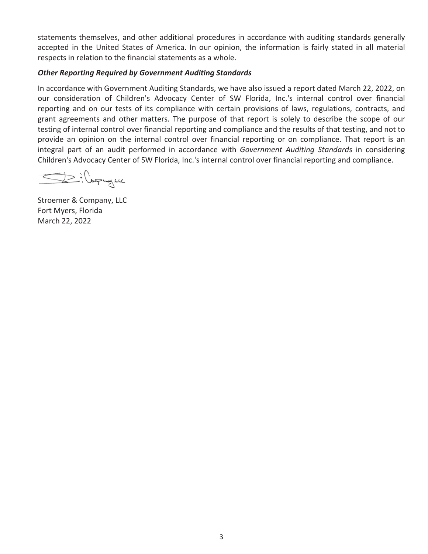statements themselves, and other additional procedures in accordance with auditing standards generally accepted in the United States of America. In our opinion, the information is fairly stated in all material respects in relation to the financial statements as a whole.

## *Other Reporting Required by Government Auditing Standards*

In accordance with Government Auditing Standards, we have also issued a report dated March 22, 2022, on our consideration of Children's Advocacy Center of SW Florida, Inc.'s internal control over financial reporting and on our tests of its compliance with certain provisions of laws, regulations, contracts, and grant agreements and other matters. The purpose of that report is solely to describe the scope of our testing of internal control over financial reporting and compliance and the results of that testing, and not to provide an opinion on the internal control over financial reporting or on compliance. That report is an integral part of an audit performed in accordance with *Government Auditing Standards* in considering Children's Advocacy Center of SW Florida, Inc.'s internal control over financial reporting and compliance.

D: Corregue

Stroemer & Company, LLC Fort Myers, Florida March 22, 2022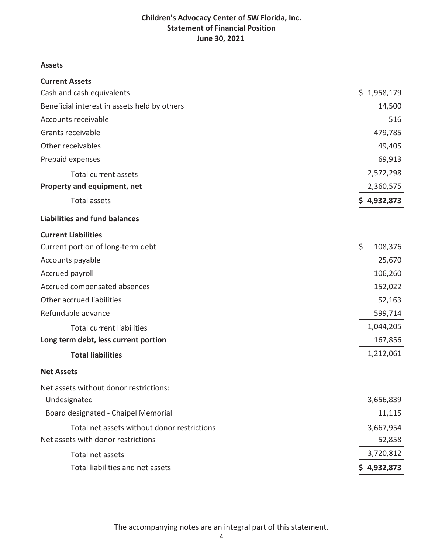## **Children's Advocacy Center of SW Florida, Inc. Statement of Financial Position June 30, 2021**

#### **Assets**

| <b>Current Assets</b>                        |               |
|----------------------------------------------|---------------|
| Cash and cash equivalents                    | \$1,958,179   |
| Beneficial interest in assets held by others | 14,500        |
| Accounts receivable                          | 516           |
| Grants receivable                            | 479,785       |
| Other receivables                            | 49,405        |
| Prepaid expenses                             | 69,913        |
| Total current assets                         | 2,572,298     |
| Property and equipment, net                  | 2,360,575     |
| <b>Total assets</b>                          | \$4,932,873   |
| <b>Liabilities and fund balances</b>         |               |
| <b>Current Liabilities</b>                   |               |
| Current portion of long-term debt            | \$<br>108,376 |
| Accounts payable                             | 25,670        |
| Accrued payroll                              | 106,260       |
| Accrued compensated absences                 | 152,022       |
| Other accrued liabilities                    | 52,163        |
| Refundable advance                           | 599,714       |
| <b>Total current liabilities</b>             | 1,044,205     |
| Long term debt, less current portion         | 167,856       |
| <b>Total liabilities</b>                     | 1,212,061     |
| <b>Net Assets</b>                            |               |
| Net assets without donor restrictions:       |               |
| Undesignated                                 | 3,656,839     |
| Board designated - Chaipel Memorial          | 11,115        |
| Total net assets without donor restrictions  | 3,667,954     |
| Net assets with donor restrictions           | 52,858        |
| Total net assets                             | 3,720,812     |
| Total liabilities and net assets             | \$4,932,873   |

The accompanying notes are an integral part of this statement.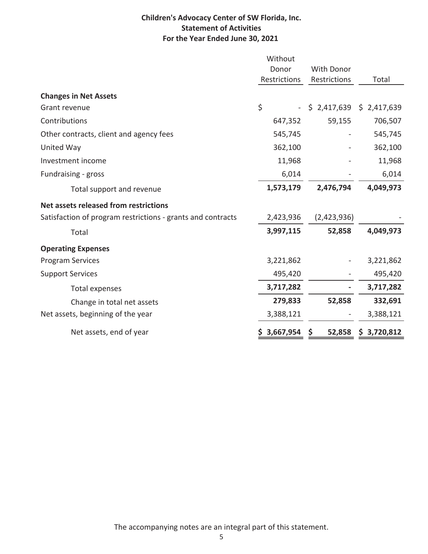## **Children's Advocacy Center of SW Florida, Inc. Statement of Activities For the Year Ended June 30, 2021**

|                                                             | Without      |              |                           |
|-------------------------------------------------------------|--------------|--------------|---------------------------|
|                                                             | Donor        | With Donor   |                           |
|                                                             | Restrictions | Restrictions | Total                     |
| <b>Changes in Net Assets</b>                                |              |              |                           |
| Grant revenue                                               | \$           |              | $$2,417,639$ $$2,417,639$ |
| Contributions                                               | 647,352      | 59,155       | 706,507                   |
| Other contracts, client and agency fees                     | 545,745      |              | 545,745                   |
| United Way                                                  | 362,100      |              | 362,100                   |
| Investment income                                           | 11,968       |              | 11,968                    |
| Fundraising - gross                                         | 6,014        |              | 6,014                     |
| Total support and revenue                                   | 1,573,179    | 2,476,794    | 4,049,973                 |
| Net assets released from restrictions                       |              |              |                           |
| Satisfaction of program restrictions - grants and contracts | 2,423,936    | (2,423,936)  |                           |
| Total                                                       | 3,997,115    | 52,858       | 4,049,973                 |
| <b>Operating Expenses</b>                                   |              |              |                           |
| <b>Program Services</b>                                     | 3,221,862    |              | 3,221,862                 |
| <b>Support Services</b>                                     | 495,420      |              | 495,420                   |
| Total expenses                                              | 3,717,282    |              | 3,717,282                 |
| Change in total net assets                                  | 279,833      | 52,858       | 332,691                   |
| Net assets, beginning of the year                           | 3,388,121    |              | 3,388,121                 |
| Net assets, end of year                                     | 3,667,954    | 52,858       | \$3,720,812               |

The accompanying notes are an integral part of this statement.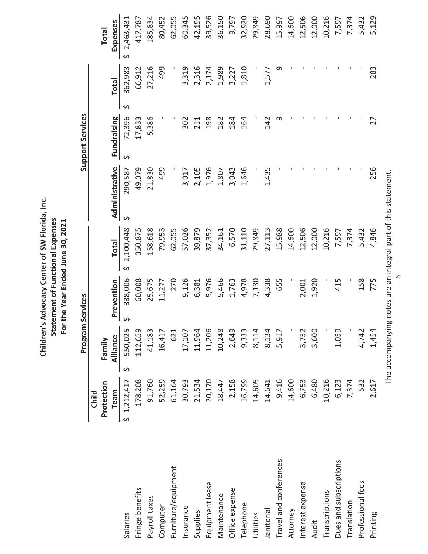Children's Advocacy Center of SW Florida, Inc. **Children's Advocacy Center of SW Florida, Inc.** Statement of Functional Expenses **Statement of Functional Expenses** For the Year Ended June 30, 2021 **For the Year Ended June 30, 2021**

62,055 60,345 42,195 39,526 36,150 32,920 29,849 28,690 12,506 10,216 80,452 15,997 14,600 12,000 7,374 5,129 417,787 185,834 Payroll taxes 91,760 41,183 25,675 158,618 21,830 5,386 27,216 185,834 9,797 7,597 5,432  $52,463,431$ Salaries \$ 1,212,417 \$ 550,025 \$ 338,006 \$ 2,100,448 \$ 290,587 \$ 72,396 \$ 362,983 \$ 2,463,431 Fringe benefits 178,208 112,659 60,008 350,875 49,079 17,833 66,912 417,787 Computer - 90,452 16,417 11,277 11,277 11,417 11,417 16,417 90,452 - 90,452 Furniture/equipment 61,164 621 621 621 621 620 62,055 - Furniture/equipment 62,055 Insurance 30,793 17,107 9,126 57,026 3,017 302 3,319 60,345 Supplies 21,534 11,964 6,381 39,879 2,105 211 2,316 42,195 Equipment lease 20,170 11,206 5,976 37,352 1,976 198 2,174 39,526 Maintenance 18,447 18,447 5,466 5,466 34,161 1,807 1,807 1,989 1,989 1,989 1,989 1,989 1,989 1,989 1,989 1,989 Office expense 2,158 2,649 1,763 6,570 3,043 184 3,227 9,797 Telephone 16,799 9,333 4,978 31,110 1,646 164 1,810 32,920 Utilities 14,605 8,114 7,130 29,849 ͲͲͲ 29,849 Janitorial 14,641 8,134 4,338 27,113 1,435 142 1,577 28,690 Travel and conferences 15,938 5,9388 5,9388 - 9,416 5,938 - 9 9 97 997 - 9 9 15,997 - 9 ATTORNEY - 14,600 ΤΗ 14,600 ΤΗ 14,600 ΤΗ 14,600 ΤΗ 14,600 ΤΗ 14,600 ΤΗ 14,600 ΤΗ 14,600 ΤΗ 14,600 ΤΗ 14,600 ΤΗ Interest expense 6,753 6,753 3,752 2,001 12,506 12,506 - ΠΕΡΓΕΡΙΣ 12,506 Audit 6,480 3,600 1,920 12,000 ͲͲͲ 12,000 Transcriptions 10,216 Ͳ Ͳ 10,216 ͲͲͲ 10,216 Dues and subscriptions 6,123 1,059 415 7,597 ͲͲͲ 7,597 Translation - Τ,374 - Τ,374 - Τ,374 - Τ,374 - Τ,374 - Τ,374 - Τ,374 - Τ,374 - Τ,374 - Τ,374 - Τ,374 - Τ,374 - Τ Professional fees 5,432 532 532 5,432 5,432 5,432 - Fees 5,432 - 5,432 - Fees του του του προϊ Printing 2,617 1,454 775 4,846 256 27 283 5,129 **Expenses Total** 66,912 27,216 499 3,319 2,316 1,577 283 1,810  $\sigma$ 362,983 2,174 1,989 3,227 **Total Alliance Prevention Total Administrative Fundraising Total Support Services Program Services Support Services** 72,396 17,833 5,386 **Fundraising** 198 302 211 182 184 164 142 G 27 Administrative 49,079 256 21,830 499 3,017 2,105 1,976 3,043 1,646 1,435 290,587 1,807 158,618 79,953 62,055 57,026 39,879 31,110 29,849 27,113 15,988 14,600 12,506 12,000 10,216 7,374 4,846 2,100,448 37,352 34,161 6,570 7,597 5,432 350,875 **Total** 60,008 25,675 655 415 158 775 338,006 270 9,126 6,381 5,976 5,466 1,763 4,978 7,130 4,338 2,001 1,920 Prevention 11,277 Program Services 112,659 11,964 11,206 10,248 2,649 9,333 8,114 8,134 3,600 1,059 1,454 41,183 5,917 3,752 4,742 550,025 16,417 621 17,107 Alliance **Family** 14,600 91,760 52,259 30,793 21,534 16,799 9,416 61,164 20,170 2,158 14,605 14,641 6,753 6,480 10,216 6,123 7,374 532 2,617  $5 1,212,417$ 178,208 18,447 Protection **Protection Team Child** Travel and conferences Dues and subscriptions Furniture/equipment Equipment lease Interest expense Professional fees Fringe benefits Office expense Transcriptions Maintenance Payroll taxes Translation Telephone Computer nsurance **Janitorial** Attorney Supplies Utilities Printing Salaries Audit

The accompanying notes are an integral part of this statement. The accompanying notes are an integral part of this statement.

6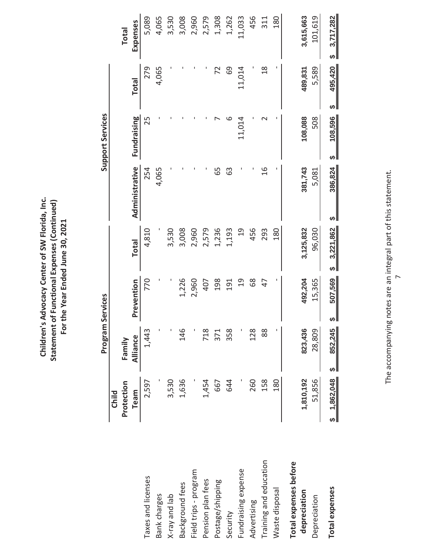Children's Advocacy Center of SW Florida, Inc. **Children's Advocacy Center of SW Florida, Inc.** Statement of Functional Expenses (Continued) **Statement of Functional Expenses (Continued)** For the Year Ended June 30, 2021 **For the Year Ended June 30, 2021**

5,089 11,033 456 180 4,065 3,530 3,008 2,960 2,579 1,308 1,262 311 3,615,663 101,619 3,717,282 Taxes and licenses  $2,597$   $4,810$   $4,810$   $4,810$   $4,810$   $2,54$   $2,54$   $2,54$ Bank charges ͲͲͲͲ 4,065 Ͳ 4,065 4,065 X-ray and lab 1 and lab 1 and 1 and 1 and 1 and 1 and 1 and 1 and 1 and 1 and 1 and 1 and 1 and 1 and 1 and 1 and 1 and 1 and 1 and 1 and 1 and 1 and 1 and 1 and 1 and 1 and 1 and 1 and 1 and 1 and 1 and 1 and 1 and 1 an Background fees 1,636 1,636 1,46 1,226 3,008 1,636 1,226 1,226 1,226 1,226 1,226 1,226 1,226 1,008 Field trips = Trips = Trips = Trips = Trips = Trips = Trips = Trips = Trips = Trips = Trips = Trips = Trips = T Pension plan fees 1,579 1,454 718 718 718 1,579 - 1,579 1,579 - 1,579 - 1,579 - 1,579 - 1,579 - 1,579 - 1,579 Postage/shipping 667 667 198 198 1,236 65 72 72 1,308 Security 644 358 358 191 1,193 63 63 62 1,193 63 69 69 1,19262 Fundraising expense expense 11,014 11,014 11,014 11,014 11,014 11,014 11,014 11,014 11,014 11,014 11,014 11,014 Advertising - Αcompact 128 68 456 128 - Αcompact 128 68 1296 1296 1296 1297 1298 1298 1208 1208 1208 1208 1208 Training and education 158 88 311  $47$  293 16 16 16 16 17 MASTE disposal 1800 Tessods: Disposal 1800 Tessods: Disposal 1800 Tessods: Disposal 1800 Tessods: Pl **depreciation 1,810,192 823,436 492,204 3,125,832 381,743 108,088 489,831 3,615,663** Depreciation 51,856 28,809 15,365 96,030 5,081 508 5,589 101,619 Total expenses \$ 1,862,048 \$ 552,245 \$ 507,569 \$ 3,221,862 \$ 386,824 \$ 108,596 \$ 495,420 \$ 3,717,282 **Expenses Total** ∥م 69 5,589 279 72  $\frac{8}{18}$ 489,831 495,420 4,065 11,014 **Total Alliance Prevention Total Administrative Fundraising Total** ∥مه Support Services **Program Services Support Services** 508 **Fundraising** 108,596 25  $\circ$ 11,014 108,088 اامه Administrative 386,824 254 4,065 65 63  $16$ 381,743 5,081 اا⊕ 96,030 4,810 3,530 3,008 2,960 2,579 1,236 1,193  $\overline{c}$ 456 293 180  $\frac{2}{3}$ , 221, 862 3,125,832 **Total** 492,204 770 1,226 2,960 198 15,365 507,569 Prevention 407 191  $\overline{0}$ 89  $47$ Program Services ຜ∥ 146 28,809 852,245 1,443 718 371 358 128 88 823,436 Alliance **Family** ക∥ 3,530 1,636 260 1,862,048 2,597 1,454 644 158 180 667 1,810,192 51,856 Protection **Protection Child Team** الم Training and education Total expenses before **Total expenses before** Field trips - program Fundraising expense Taxes and licenses Pension plan fees Postage/shipping Background fees **Total expenses** Waste disposal depreciation Bank charges X-ray and lab Depreciation Advertising Security

The accompanying notes are an integral part of this statement. The accompanying notes are an integral part of this statement.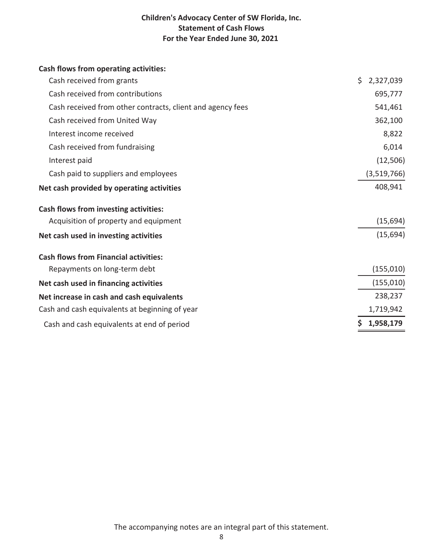## **Children's Advocacy Center of SW Florida, Inc. Statement of Cash Flows For the Year Ended June 30, 2021**

| Cash flows from operating activities:                      |                 |
|------------------------------------------------------------|-----------------|
| Cash received from grants                                  | \$<br>2,327,039 |
| Cash received from contributions                           | 695,777         |
| Cash received from other contracts, client and agency fees | 541,461         |
| Cash received from United Way                              | 362,100         |
| Interest income received                                   | 8,822           |
| Cash received from fundraising                             | 6,014           |
| Interest paid                                              | (12,506)        |
| Cash paid to suppliers and employees                       | (3,519,766)     |
| Net cash provided by operating activities                  | 408,941         |
| Cash flows from investing activities:                      |                 |
| Acquisition of property and equipment                      | (15, 694)       |
| Net cash used in investing activities                      | (15, 694)       |
| <b>Cash flows from Financial activities:</b>               |                 |
| Repayments on long-term debt                               | (155, 010)      |
| Net cash used in financing activities                      | (155, 010)      |
| Net increase in cash and cash equivalents                  | 238,237         |
| Cash and cash equivalents at beginning of year             | 1,719,942       |
| Cash and cash equivalents at end of period                 | 1,958,179<br>\$ |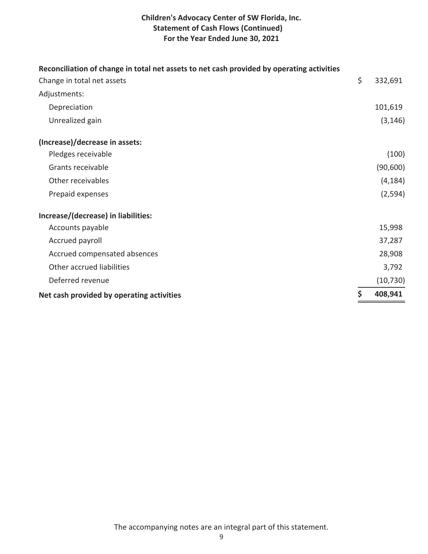## **Children's Advocacy Center of SW Florida, Inc. Statement of Cash Flows (Continued) For the Year Ended June 30, 2021**

| Reconciliation of change in total net assets to net cash provided by operating activities |               |
|-------------------------------------------------------------------------------------------|---------------|
| Change in total net assets                                                                | \$<br>332,691 |
| Adjustments:                                                                              |               |
| Depreciation                                                                              | 101,619       |
| Unrealized gain                                                                           | (3, 146)      |
| (Increase)/decrease in assets:                                                            |               |
| Pledges receivable                                                                        | (100)         |
| Grants receivable                                                                         | (90, 600)     |
| Other receivables                                                                         | (4, 184)      |
| Prepaid expenses                                                                          | (2,594)       |
| Increase/(decrease) in liabilities:                                                       |               |
| Accounts payable                                                                          | 15,998        |
| Accrued payroll                                                                           | 37,287        |
| Accrued compensated absences                                                              | 28,908        |
| Other accrued liabilities                                                                 | 3,792         |
| Deferred revenue                                                                          | (10, 730)     |
| Net cash provided by operating activities                                                 | \$<br>408,941 |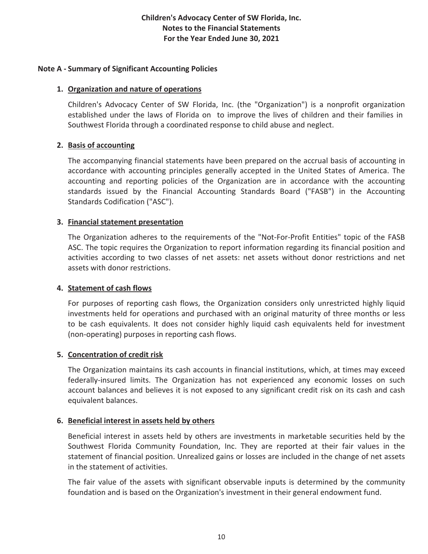### **Note A** - Summary of Significant Accounting Policies

### **1. Organization and nature of operations**

Children's Advocacy Center of SW Florida, Inc. (the "Organization") is a nonprofit organization established under the laws of Florida on to improve the lives of children and their families in Southwest Florida through a coordinated response to child abuse and neglect.

### **2. Basis of accounting**

The accompanying financial statements have been prepared on the accrual basis of accounting in accordance with accounting principles generally accepted in the United States of America. The accounting and reporting policies of the Organization are in accordance with the accounting standards issued by the Financial Accounting Standards Board ("FASB") in the Accounting Standards Codification ("ASC").

### **3. Financial statement presentation**

The Organization adheres to the requirements of the "Not-For-Profit Entities" topic of the FASB ASC. The topic requires the Organization to report information regarding its financial position and activities according to two classes of net assets: net assets without donor restrictions and net assets with donor restrictions.

### **4. Statement of cash flows**

For purposes of reporting cash flows, the Organization considers only unrestricted highly liquid investments held for operations and purchased with an original maturity of three months or less to be cash equivalents. It does not consider highly liquid cash equivalents held for investment (non-operating) purposes in reporting cash flows.

### **5. Concentration of credit risk**

The Organization maintains its cash accounts in financial institutions, which, at times may exceed federally-insured limits. The Organization has not experienced any economic losses on such account balances and believes it is not exposed to any significant credit risk on its cash and cash equivalent balances.

### **6. Beneficial interest in assets held by others**

Beneficial interest in assets held by others are investments in marketable securities held by the Southwest Florida Community Foundation, Inc. They are reported at their fair values in the statement of financial position. Unrealized gains or losses are included in the change of net assets in the statement of activities.

The fair value of the assets with significant observable inputs is determined by the community foundation and is based on the Organization's investment in their general endowment fund.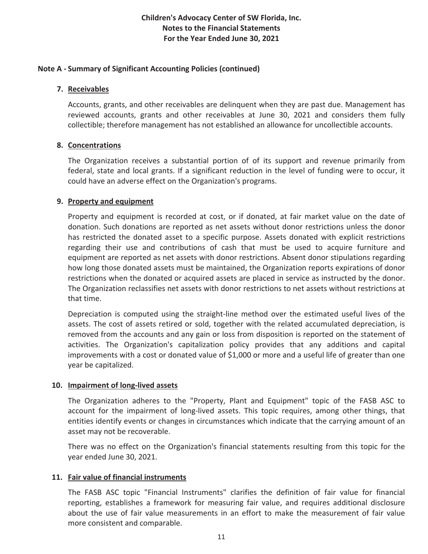## **Note A** - Summary of Significant Accounting Policies (continued)

## **7. Receivables**

Accounts, grants, and other receivables are delinquent when they are past due. Management has reviewed accounts, grants and other receivables at June 30, 2021 and considers them fully collectible; therefore management has not established an allowance for uncollectible accounts.

## **8. Concentrations**

The Organization receives a substantial portion of of its support and revenue primarily from federal, state and local grants. If a significant reduction in the level of funding were to occur, it could have an adverse effect on the Organization's programs.

## **9. Property and equipment**

Property and equipment is recorded at cost, or if donated, at fair market value on the date of donation. Such donations are reported as net assets without donor restrictions unless the donor has restricted the donated asset to a specific purpose. Assets donated with explicit restrictions regarding their use and contributions of cash that must be used to acquire furniture and equipment are reported as net assets with donor restrictions. Absent donor stipulations regarding how long those donated assets must be maintained, the Organization reports expirations of donor restrictions when the donated or acquired assets are placed in service as instructed by the donor. The Organization reclassifies net assets with donor restrictions to net assets without restrictions at that time.

Depreciation is computed using the straight-line method over the estimated useful lives of the assets. The cost of assets retired or sold, together with the related accumulated depreciation, is removed from the accounts and any gain or loss from disposition is reported on the statement of activities. The Organization's capitalization policy provides that any additions and capital improvements with a cost or donated value of \$1,000 or more and a useful life of greater than one year be capitalized.

### **10. Impairment of long-lived assets**

The Organization adheres to the "Property, Plant and Equipment" topic of the FASB ASC to account for the impairment of long-lived assets. This topic requires, among other things, that entities identify events or changes in circumstances which indicate that the carrying amount of an asset may not be recoverable.

There was no effect on the Organization's financial statements resulting from this topic for the year ended June 30, 2021.

## **11. Fair value of financial instruments**

The FASB ASC topic "Financial Instruments" clarifies the definition of fair value for financial reporting, establishes a framework for measuring fair value, and requires additional disclosure about the use of fair value measurements in an effort to make the measurement of fair value more consistent and comparable.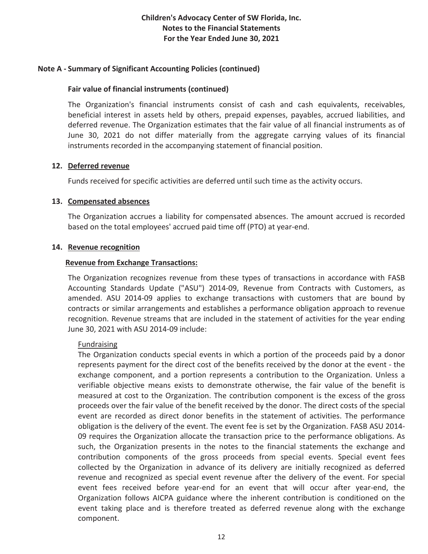### **Note A** - Summary of Significant Accounting Policies (continued)

#### **Fair value of financial instruments (continued)**

The Organization's financial instruments consist of cash and cash equivalents, receivables, beneficial interest in assets held by others, prepaid expenses, payables, accrued liabilities, and deferred revenue. The Organization estimates that the fair value of all financial instruments as of June 30, 2021 do not differ materially from the aggregate carrying values of its financial instruments recorded in the accompanying statement of financial position.

### **12. Deferred revenue**

Funds received for specific activities are deferred until such time as the activity occurs.

### **13. Compensated absences**

The Organization accrues a liability for compensated absences. The amount accrued is recorded based on the total employees' accrued paid time off (PTO) at year-end.

### **14. Revenue recognition**

### **Revenue from Exchange Transactions:**

The Organization recognizes revenue from these types of transactions in accordance with FASB Accounting Standards Update ("ASU") 2014-09, Revenue from Contracts with Customers, as amended. ASU 2014-09 applies to exchange transactions with customers that are bound by contracts or similar arrangements and establishes a performance obligation approach to revenue recognition. Revenue streams that are included in the statement of activities for the year ending June 30, 2021 with ASU 2014-09 include:

#### Fundraising

The Organization conducts special events in which a portion of the proceeds paid by a donor represents payment for the direct cost of the benefits received by the donor at the event - the exchange component, and a portion represents a contribution to the Organization. Unless a verifiable objective means exists to demonstrate otherwise, the fair value of the benefit is measured at cost to the Organization. The contribution component is the excess of the gross proceeds over the fair value of the benefit received by the donor. The direct costs of the special event are recorded as direct donor benefits in the statement of activities. The performance obligation is the delivery of the event. The event fee is set by the Organization. FASB ASU 2014-09 requires the Organization allocate the transaction price to the performance obligations. As such, the Organization presents in the notes to the financial statements the exchange and contribution components of the gross proceeds from special events. Special event fees collected by the Organization in advance of its delivery are initially recognized as deferred revenue and recognized as special event revenue after the delivery of the event. For special event fees received before year-end for an event that will occur after year-end, the Organization follows AICPA guidance where the inherent contribution is conditioned on the event taking place and is therefore treated as deferred revenue along with the exchange component.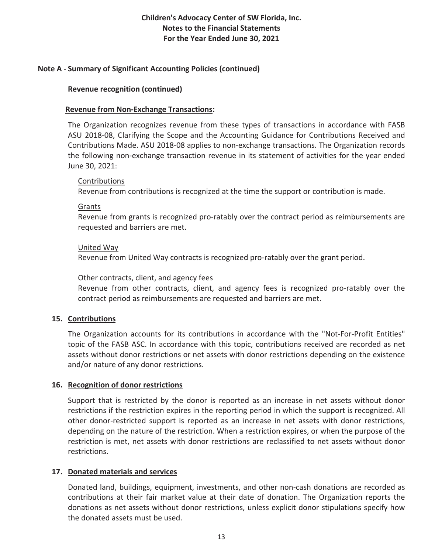## **Note A** - Summary of Significant Accounting Policies (continued)

### **Revenue recognition (continued)**

### **Revenue from Non-Exchange Transactions:**

The Organization recognizes revenue from these types of transactions in accordance with FASB ASU 2018-08, Clarifying the Scope and the Accounting Guidance for Contributions Received and Contributions Made. ASU 2018-08 applies to non-exchange transactions. The Organization records the following non-exchange transaction revenue in its statement of activities for the year ended June 30, 2021:

### **Contributions**

Revenue from contributions is recognized at the time the support or contribution is made.

### Grants

Revenue from grants is recognized pro-ratably over the contract period as reimbursements are requested and barriers are met.

### United Way

Revenue from United Way contracts is recognized pro-ratably over the grant period.

### Other contracts, client, and agency fees

Revenue from other contracts, client, and agency fees is recognized pro-ratably over the contract period as reimbursements are requested and barriers are met.

### **15. Contributions**

The Organization accounts for its contributions in accordance with the "Not-For-Profit Entities" topic of the FASB ASC. In accordance with this topic, contributions received are recorded as net assets without donor restrictions or net assets with donor restrictions depending on the existence and/or nature of any donor restrictions.

### **16. Recognition of donor restrictions**

Support that is restricted by the donor is reported as an increase in net assets without donor restrictions if the restriction expires in the reporting period in which the support is recognized. All other donor-restricted support is reported as an increase in net assets with donor restrictions, depending on the nature of the restriction. When a restriction expires, or when the purpose of the restriction is met, net assets with donor restrictions are reclassified to net assets without donor restrictions.

#### **17. Donated materials and services**

Donated land, buildings, equipment, investments, and other non-cash donations are recorded as contributions at their fair market value at their date of donation. The Organization reports the donations as net assets without donor restrictions, unless explicit donor stipulations specify how the donated assets must be used.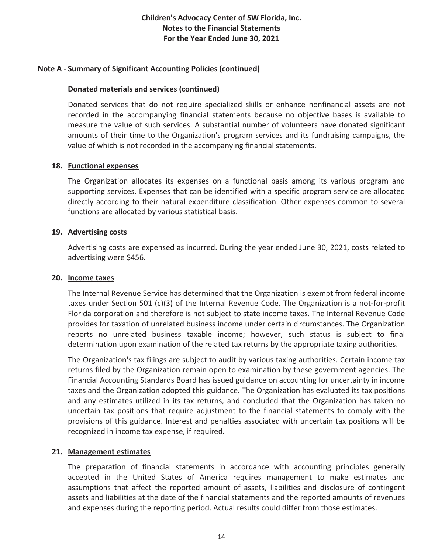### **Note A** - Summary of Significant Accounting Policies (continued)

#### **Donated materials and services (continued)**

Donated services that do not require specialized skills or enhance nonfinancial assets are not recorded in the accompanying financial statements because no objective bases is available to measure the value of such services. A substantial number of volunteers have donated significant amounts of their time to the Organization's program services and its fundraising campaigns, the value of which is not recorded in the accompanying financial statements.

### **18. Functional expenses**

The Organization allocates its expenses on a functional basis among its various program and supporting services. Expenses that can be identified with a specific program service are allocated directly according to their natural expenditure classification. Other expenses common to several functions are allocated by various statistical basis.

### **19. Advertising costs**

Advertising costs are expensed as incurred. During the year ended June 30, 2021, costs related to advertising were \$456.

#### **20. Income taxes**

The Internal Revenue Service has determined that the Organization is exempt from federal income taxes under Section 501 (c)(3) of the Internal Revenue Code. The Organization is a not-for-profit Florida corporation and therefore is not subject to state income taxes. The Internal Revenue Code provides for taxation of unrelated business income under certain circumstances. The Organization reports no unrelated business taxable income; however, such status is subject to final determination upon examination of the related tax returns by the appropriate taxing authorities.

The Organization's tax filings are subject to audit by various taxing authorities. Certain income tax returns filed by the Organization remain open to examination by these government agencies. The Financial Accounting Standards Board has issued guidance on accounting for uncertainty in income taxes and the Organization adopted this guidance. The Organization has evaluated its tax positions and any estimates utilized in its tax returns, and concluded that the Organization has taken no uncertain tax positions that require adjustment to the financial statements to comply with the provisions of this guidance. Interest and penalties associated with uncertain tax positions will be recognized in income tax expense, if required.

### **21. Management estimates**

The preparation of financial statements in accordance with accounting principles generally accepted in the United States of America requires management to make estimates and assumptions that affect the reported amount of assets, liabilities and disclosure of contingent assets and liabilities at the date of the financial statements and the reported amounts of revenues and expenses during the reporting period. Actual results could differ from those estimates.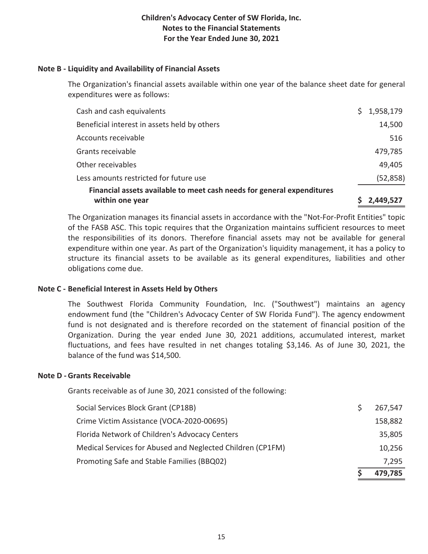## **Note BͲ Liquidity and Availability of Financial Assets**

The Organization's financial assets available within one year of the balance sheet date for general expenditures were as follows:

| Financial assets available to meet cash needs for general expenditures<br>within one year |    | 2,449,527 |
|-------------------------------------------------------------------------------------------|----|-----------|
| Less amounts restricted for future use                                                    |    | (52, 858) |
| Other receivables                                                                         |    | 49,405    |
| Grants receivable                                                                         |    | 479,785   |
| Accounts receivable                                                                       |    | 516       |
| Beneficial interest in assets held by others                                              |    | 14,500    |
| Cash and cash equivalents                                                                 | S. | 1,958,179 |
|                                                                                           |    |           |

The Organization manages its financial assets in accordance with the "Not-For-Profit Entities" topic of the FASB ASC. This topic requires that the Organization maintains sufficient resources to meet the responsibilities of its donors. Therefore financial assets may not be available for general expenditure within one year. As part of the Organization's liquidity management, it has a policy to structure its financial assets to be available as its general expenditures, liabilities and other obligations come due.

### **Note CͲ Beneficial Interest in Assets Held by Others**

The Southwest Florida Community Foundation, Inc. ("Southwest") maintains an agency endowment fund (the "Children's Advocacy Center of SW Florida Fund"). The agency endowment fund is not designated and is therefore recorded on the statement of financial position of the Organization. During the year ended June 30, 2021 additions, accumulated interest, market fluctuations, and fees have resulted in net changes totaling \$3,146. As of June 30, 2021, the balance of the fund was \$14,500.

### **Note D** - Grants Receivable

Grants receivable as of June 30, 2021 consisted of the following:

|                                                            | 479,785 |
|------------------------------------------------------------|---------|
| Promoting Safe and Stable Families (BBQ02)                 | 7,295   |
| Medical Services for Abused and Neglected Children (CP1FM) | 10,256  |
| Florida Network of Children's Advocacy Centers             | 35,805  |
| Crime Victim Assistance (VOCA-2020-00695)                  | 158,882 |
| Social Services Block Grant (CP18B)                        | 267,547 |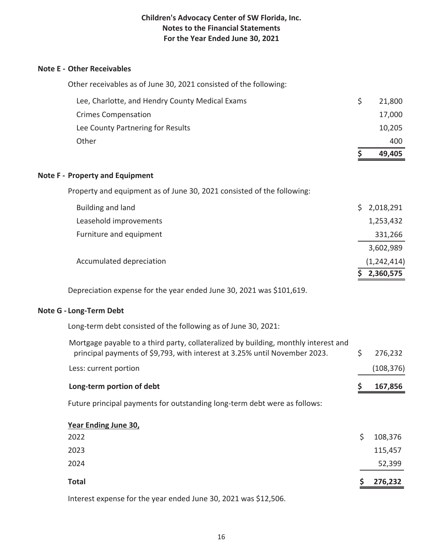### **Note E - Other Receivables**

| Other receivables as of June 30, 2021 consisted of the following:      |     |               |
|------------------------------------------------------------------------|-----|---------------|
| Lee, Charlotte, and Hendry County Medical Exams                        | \$  | 21,800        |
| <b>Crimes Compensation</b>                                             |     | 17,000        |
| Lee County Partnering for Results                                      |     | 10,205        |
| Other                                                                  |     | 400           |
|                                                                        |     | 49,405        |
| <b>Note F - Property and Equipment</b>                                 |     |               |
| Property and equipment as of June 30, 2021 consisted of the following: |     |               |
| Building and land                                                      | \$. | 2,018,291     |
| Leasehold improvements                                                 |     | 1,253,432     |
| Furniture and equipment                                                |     | 331,266       |
|                                                                        |     | 3,602,989     |
| Accumulated depreciation                                               |     | (1, 242, 414) |
|                                                                        |     | 2,360,575     |
| Depreciation expense for the year ended June 30, 2021 was \$101,619.   |     |               |
| Note G - Long-Term Debt                                                |     |               |

Long-term debt consisted of the following as of June 30, 2021:

| Mortgage payable to a third party, collateralized by building, monthly interest and<br>principal payments of \$9,793, with interest at 3.25% until November 2023. | \$ | 276,232    |
|-------------------------------------------------------------------------------------------------------------------------------------------------------------------|----|------------|
| Less: current portion                                                                                                                                             |    | (108, 376) |
| Long-term portion of debt                                                                                                                                         |    | 167,856    |
| Future principal payments for outstanding long-term debt were as follows:                                                                                         |    |            |
| <b>Year Ending June 30,</b>                                                                                                                                       |    |            |
| 2022                                                                                                                                                              | Ś  | 108,376    |
| 2023                                                                                                                                                              |    | 115,457    |
| 2024                                                                                                                                                              |    | 52,399     |
| <b>Total</b>                                                                                                                                                      |    | 276,232    |

Interest expense for the year ended June 30, 2021 was \$12,506.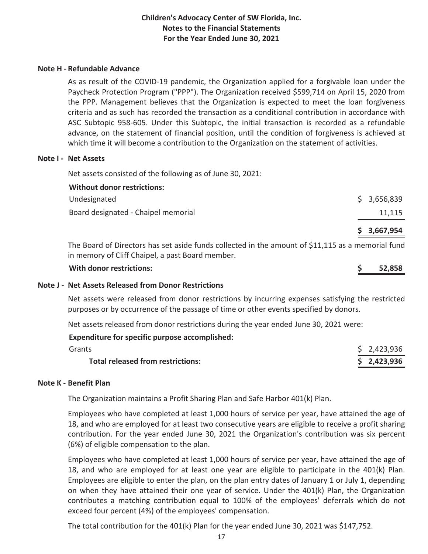### **Note H - Refundable Advance**

As as result of the COVID-19 pandemic, the Organization applied for a forgivable loan under the Paycheck Protection Program ("PPP"). The Organization received \$599,714 on April 15, 2020 from the PPP. Management believes that the Organization is expected to meet the loan forgiveness criteria and as such has recorded the transaction as a conditional contribution in accordance with ASC Subtopic 958-605. Under this Subtopic, the initial transaction is recorded as a refundable advance, on the statement of financial position, until the condition of forgiveness is achieved at which time it will become a contribution to the Organization on the statement of activities.

#### **Note I - Net Assets**

Net assets consisted of the following as of June 30, 2021:

| <b>Without donor restrictions:</b>  |             |
|-------------------------------------|-------------|
| Undesignated                        | \$3,656,839 |
| Board designated - Chaipel memorial | 11,115      |
|                                     | \$3,667,954 |

The Board of Directors has set aside funds collected in the amount of \$11,115 as a memorial fund in memory of Cliff Chaipel, a past Board member.

| With donor restrictions: | 52,858 |
|--------------------------|--------|
|                          |        |

#### **Note J - Net Assets Released from Donor Restrictions**

Net assets were released from donor restrictions by incurring expenses satisfying the restricted purposes or by occurrence of the passage of time or other events specified by donors.

Net assets released from donor restrictions during the year ended June 30, 2021 were:

| Expenditure for specific purpose accomplished: |             |
|------------------------------------------------|-------------|
| Grants                                         | \$2,423,936 |
| <b>Total released from restrictions:</b>       | \$2,423,936 |

#### **Note K** - Benefit Plan

The Organization maintains a Profit Sharing Plan and Safe Harbor 401(k) Plan.

Employees who have completed at least 1,000 hours of service per year, have attained the age of 18, and who are employed for at least two consecutive years are eligible to receive a profit sharing contribution. For the year ended June 30, 2021 the Organization's contribution was six percent (6%) of eligible compensation to the plan.

Employees who have completed at least 1,000 hours of service per year, have attained the age of 18, and who are employed for at least one year are eligible to participate in the 401(k) Plan. Employees are eligible to enter the plan, on the plan entry dates of January 1 or July 1, depending on when they have attained their one year of service. Under the 401(k) Plan, the Organization contributes a matching contribution equal to 100% of the employees' deferrals which do not exceed four percent (4%) of the employees' compensation.

The total contribution for the 401(k) Plan for the year ended June 30, 2021 was \$147,752.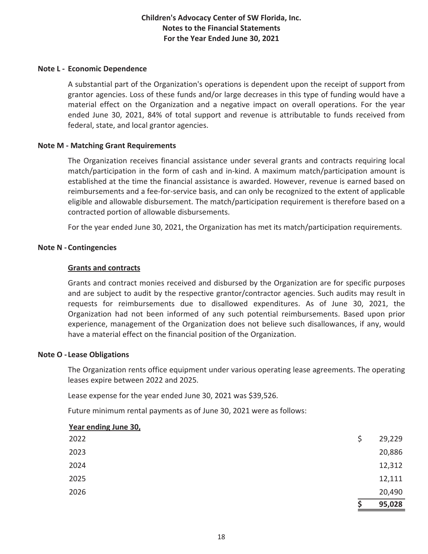#### **Note L - Economic Dependence**

A substantial part of the Organization's operations is dependent upon the receipt of support from grantor agencies. Loss of these funds and/or large decreases in this type of funding would have a material effect on the Organization and a negative impact on overall operations. For the year ended June 30, 2021, 84% of total support and revenue is attributable to funds received from federal, state, and local grantor agencies.

#### **Note M - Matching Grant Requirements**

The Organization receives financial assistance under several grants and contracts requiring local match/participation in the form of cash and in-kind. A maximum match/participation amount is established at the time the financial assistance is awarded. However, revenue is earned based on reimbursements and a fee-for-service basis, and can only be recognized to the extent of applicable eligible and allowable disbursement. The match/participation requirement is therefore based on a contracted portion of allowable disbursements.

For the year ended June 30, 2021, the Organization has met its match/participation requirements.

### **Note N** - Contingencies

### **Grants and contracts**

Grants and contract monies received and disbursed by the Organization are for specific purposes and are subject to audit by the respective grantor/contractor agencies. Such audits may result in requests for reimbursements due to disallowed expenditures. As of June 30, 2021, the Organization had not been informed of any such potential reimbursements. Based upon prior experience, management of the Organization does not believe such disallowances, if any, would have a material effect on the financial position of the Organization.

#### **Note O - Lease Obligations**

The Organization rents office equipment under various operating lease agreements. The operating leases expire between 2022 and 2025.

Lease expense for the year ended June 30, 2021 was \$39,526.

Future minimum rental payments as of June 30, 2021 were as follows:

| Year ending June 30, |    |        |
|----------------------|----|--------|
| 2022                 | \$ | 29,229 |
| 2023                 |    | 20,886 |
| 2024                 |    | 12,312 |
| 2025                 |    | 12,111 |
| 2026                 |    | 20,490 |
|                      | Ş  | 95,028 |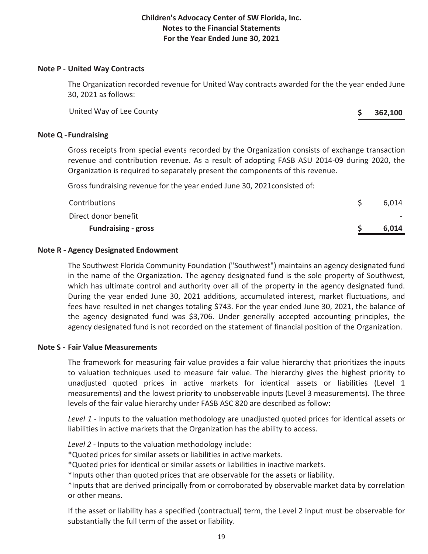### **Note P - United Way Contracts**

The Organization recorded revenue for United Way contracts awarded for the the year ended June 30, 2021 as follows:

United Way of Lee County **by a set of the County \$ 362,100** 

### **Note Q** - Fundraising

Gross receipts from special events recorded by the Organization consists of exchange transaction revenue and contribution revenue. As a result of adopting FASB ASU 2014-09 during 2020, the Organization is required to separately present the components of this revenue.

Gross fundraising revenue for the year ended June 30, 2021consisted of:

| <b>Fundraising - gross</b> | 6,014 |
|----------------------------|-------|
| Direct donor benefit       |       |
| Contributions              | 6,014 |

### **Note R - Agency Designated Endowment**

The Southwest Florida Community Foundation ("Southwest") maintains an agency designated fund in the name of the Organization. The agency designated fund is the sole property of Southwest, which has ultimate control and authority over all of the property in the agency designated fund. During the year ended June 30, 2021 additions, accumulated interest, market fluctuations, and fees have resulted in net changes totaling \$743. For the year ended June 30, 2021, the balance of the agency designated fund was \$3,706. Under generally accepted accounting principles, the agency designated fund is not recorded on the statement of financial position of the Organization.

#### **Note S - Fair Value Measurements**

The framework for measuring fair value provides a fair value hierarchy that prioritizes the inputs to valuation techniques used to measure fair value. The hierarchy gives the highest priority to unadjusted quoted prices in active markets for identical assets or liabilities (Level 1 measurements) and the lowest priority to unobservable inputs (Level 3 measurements). The three levels of the fair value hierarchy under FASB ASC 820 are described as follow:

*Level* 1 - Inputs to the valuation methodology are unadjusted quoted prices for identical assets or liabilities in active markets that the Organization has the ability to access.

*Level* 2 - Inputs to the valuation methodology include:

\*Quoted prices for similar assets or liabilities in active markets.

\*Quoted pries for identical or similar assets or liabilities in inactive markets.

\*Inputs other than quoted prices that are observable for the assets or liability.

\*Inputs that are derived principally from or corroborated by observable market data by correlation or other means.

If the asset or liability has a specified (contractual) term, the Level 2 input must be observable for substantially the full term of the asset or liability.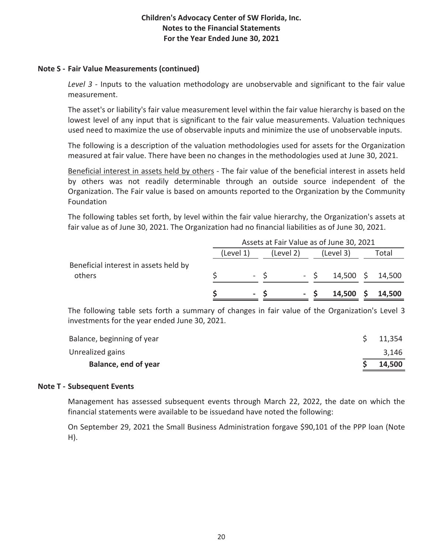## **Note SͲ Fair Value Measurements (continued)**

*Level* 3 - Inputs to the valuation methodology are unobservable and significant to the fair value measurement.

The asset's or liability's fair value measurement level within the fair value hierarchy is based on the lowest level of any input that is significant to the fair value measurements. Valuation techniques used need to maximize the use of observable inputs and minimize the use of unobservable inputs.

The following is a description of the valuation methodologies used for assets for the Organization measured at fair value. There have been no changes in the methodologies used at June 30, 2021.

Beneficial interest in assets held by others - The fair value of the beneficial interest in assets held by others was not readily determinable through an outside source independent of the Organization. The Fair value is based on amounts reported to the Organization by the Community Foundation

The following tables set forth, by level within the fair value hierarchy, the Organization's assets at fair value as of June 30, 2021. The Organization had no financial liabilities as of June 30, 2021.

|                                       |           |      |           |     | Assets at Fair Value as of June 30, 2021 |        |
|---------------------------------------|-----------|------|-----------|-----|------------------------------------------|--------|
|                                       | (Level 1) |      | (Level 2) |     | (Level 3)                                | Total  |
| Beneficial interest in assets held by |           |      |           |     |                                          |        |
| others                                |           | $-S$ |           |     | $-$ \$ 14,500 \$ 14,500                  |        |
|                                       |           | $-S$ |           | - S | $14,500 \; \; \$$                        | 14,500 |

The following table sets forth a summary of changes in fair value of the Organization's Level 3 investments for the year ended June 30, 2021.

| Balance, end of year       | 14,500 |
|----------------------------|--------|
| Unrealized gains           | 3,146  |
| Balance, beginning of year | 11,354 |

### **Note T - Subsequent Events**

Management has assessed subsequent events through March 22, 2022, the date on which the financial statements were available to be issuedand have noted the following:

On September 29, 2021 the Small Business Administration forgave \$90,101 of the PPP loan (Note H).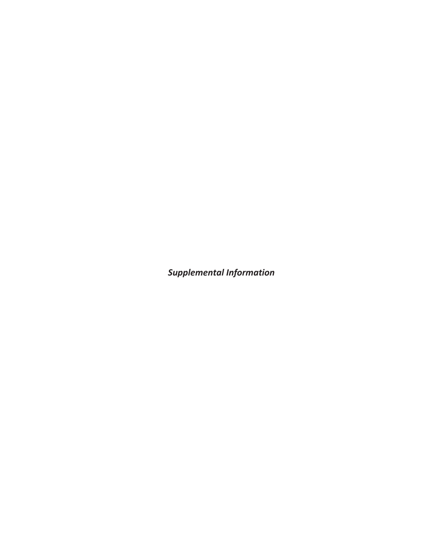*Supplemental Information*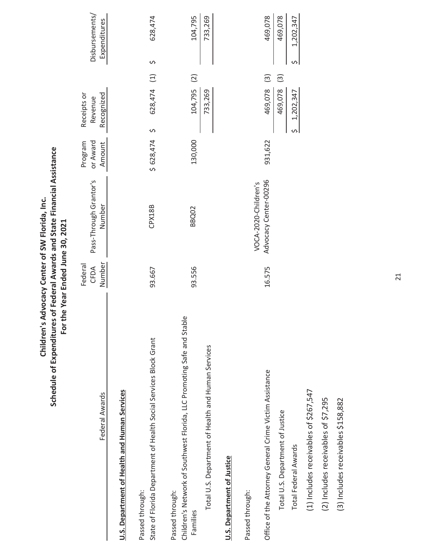| Schedule of Expenditures of Federal Awards and State Financial Assistance<br>۔<br>Eo                  | the Year Ended June 30, 2021 |                                  |                               |                                      |                                   |    |                                |
|-------------------------------------------------------------------------------------------------------|------------------------------|----------------------------------|-------------------------------|--------------------------------------|-----------------------------------|----|--------------------------------|
| Federal Awards                                                                                        | Number<br>Federal<br>CFDA    | Pass-Through Grantor's<br>Number | or Award<br>Program<br>Amount | Receipts or<br>Recognized<br>Revenue |                                   |    | Disbursements,<br>Expenditures |
| <b>U.S. Department of Health and Human Services</b>                                                   |                              |                                  |                               |                                      |                                   |    |                                |
| State of Florida Department of Health Social Services Block Grant<br>Passed through:                  | 93.667                       | CPX18B                           | \$628,474                     | 628,474<br>$\hat{\mathsf{S}}$        | $\begin{pmatrix} 1 \end{pmatrix}$ | Ş  | 628,474                        |
| Children's Network of Southwest Florida, LLC Promoting Safe and Stable<br>Passed through:<br>Families | 93.556                       | BBQ02                            | 130,000                       | 104,795                              | $\widetilde{c}$                   |    | 104,795                        |
| Total U.S. Department of Health and Human Services                                                    |                              |                                  |                               | 733,269                              |                                   |    | 733,269                        |
| U.S. Department of Justice                                                                            |                              |                                  |                               |                                      |                                   |    |                                |
| Passed through:                                                                                       |                              | VOCA-2020-Children's             |                               |                                      |                                   |    |                                |
| Office of the Attorney General Crime Victim Assistance                                                | 16.575                       | Advocacy Center-00296            | 931,622                       | 469,078                              | <u>ි</u>                          |    | 469,078                        |
| Total U.S. Department of Justice                                                                      |                              |                                  |                               | 469,078                              | $\widehat{S}$                     |    | 469,078                        |
| <b>Total Federal Awards</b>                                                                           |                              |                                  |                               | 1,202,347<br>Ş                       |                                   | ᠊ᠬ | 1,202,347                      |
| (1) Includes receivables of \$267,547                                                                 |                              |                                  |                               |                                      |                                   |    |                                |
| (2) Includes receivables of \$7,295                                                                   |                              |                                  |                               |                                      |                                   |    |                                |
| (3) Includes receivables \$158,882                                                                    |                              |                                  |                               |                                      |                                   |    |                                |

**Children's Advocacy Center of SW Florida, Inc.**

Children's Advocacy Center of SW Florida, Inc.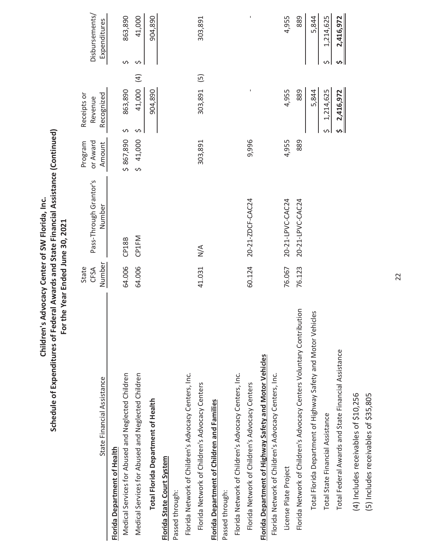Schedule of Expenditures of Federal Awards and State Financial Assistance (Continued) **Schedule of Expenditures of Federal Awards and State Financial Assistance (Continued)** Children's Advocacy Center of SW Florida, Inc. **Children's Advocacy Center of SW Florida, Inc.** For the Year Ended June 30, 2021 **For the Year Ended June 30, 2021**

|                                                                       | State  |                        | Program   | Receipts or    |                     |                |
|-----------------------------------------------------------------------|--------|------------------------|-----------|----------------|---------------------|----------------|
|                                                                       | CFSA   | Pass-Through Grantor's | or Award  | Revenue        |                     | Disbursements/ |
| State Financial Assistance                                            | Number | Number                 | Amount    | Recognized     |                     | Expenditures   |
| Florida Department of Health                                          |        |                        |           |                |                     |                |
| Medical Services for Abused and Neglected Children                    | 64.006 | <b>CP18B</b>           | \$867,890 | 863,890<br>Ş   | ᠊᠕                  | 863,890        |
| Medical Services for Abused and Neglected Children                    | 64.006 | CP <sub>1FM</sub>      | \$41,000  | 41,000         | ᠊ᡃ<br>$\widehat{f}$ | 41,000         |
| <b>Total Florida Department of Health</b>                             |        |                        |           | 904,890        |                     | 904,890        |
| Florida State Court System                                            |        |                        |           |                |                     |                |
| Passed through:                                                       |        |                        |           |                |                     |                |
| Florida Network of Children's Advocacy Centers, Inc.                  |        |                        |           |                |                     |                |
| Florida Network of Children's Advocacy Centers                        | 41.031 | $\frac{4}{2}$          | 303,891   | 303,891        | (5)                 | 303,891        |
| Florida Department of Children and Families                           |        |                        |           |                |                     |                |
| Passed through:                                                       |        |                        |           |                |                     |                |
| Florida Network of Children's Advocacy Centers, Inc.                  |        |                        |           |                |                     |                |
| Florida Network of Children's Advocacy Centers                        | 60.124 | 20-21-ZDCF-CAC24       | 9,996     | ı              |                     | Ţ              |
| Florida Department of Highway Safety and Motor Vehicles               |        |                        |           |                |                     |                |
| Florida Network of Children's Advocacy Centers, Inc.                  |        |                        |           |                |                     |                |
| License Plate Project                                                 | 76.067 | 20-21-LPVC-CAC24       | 4,955     | 4,955          |                     | 4,955          |
| Florida Network of Children's Advocacy Centers Voluntary Contribution | 76.123 | 20-21-LPVC-CAC24       | 889       | 889            |                     | 889            |
| Total Florida Department of Highway Safety and Motor Vehicles         |        |                        |           | 5,844          |                     | 5,844          |
| Total State Financial Assistance                                      |        |                        |           | 1,214,625<br>ဂ | ᠊ᡐ                  | 1,214,625      |
| Total Federal Awards and State Financial Assistance                   |        |                        |           | 2,416,972      | ᠊ᡐ                  | 2,416,972      |
| (4) Includes receivables of \$10,256                                  |        |                        |           |                |                     |                |
| (5) Includes receivables of \$35,805                                  |        |                        |           |                |                     |                |

22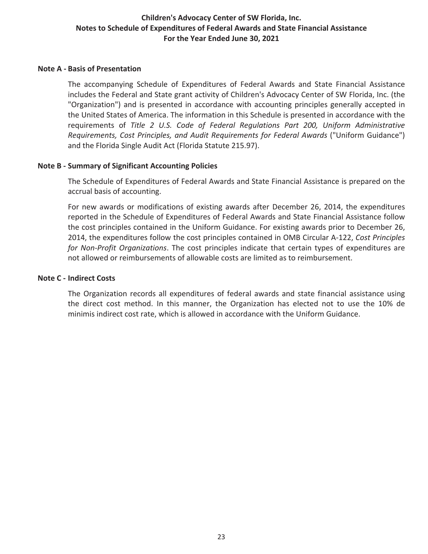## **Children's Advocacy Center of SW Florida, Inc. Notes to Schedule of Expenditures of Federal Awards and State Financial Assistance For the Year Ended June 30, 2021**

### **Note A - Basis of Presentation**

The accompanying Schedule of Expenditures of Federal Awards and State Financial Assistance includes the Federal and State grant activity of Children's Advocacy Center of SW Florida, Inc. (the "Organization") and is presented in accordance with accounting principles generally accepted in the United States of America. The information in this Schedule is presented in accordance with the requirements of *Title 2 U.S. Code of Federal Regulations Part 200, Uniform Administrative Requirements, Cost Principles, and Audit Requirements for Federal Awards* ("Uniform Guidance") and the Florida Single Audit Act (Florida Statute 215.97).

### **Note B - Summary of Significant Accounting Policies**

The Schedule of Expenditures of Federal Awards and State Financial Assistance is prepared on the accrual basis of accounting.

For new awards or modifications of existing awards after December 26, 2014, the expenditures reported in the Schedule of Expenditures of Federal Awards and State Financial Assistance follow the cost principles contained in the Uniform Guidance. For existing awards prior to December 26, 2014, the expenditures follow the cost principles contained in OMB Circular AͲ122, *Cost Principles for NonͲProfit Organizations*. The cost principles indicate that certain types of expenditures are not allowed or reimbursements of allowable costs are limited as to reimbursement.

#### **Note C - Indirect Costs**

The Organization records all expenditures of federal awards and state financial assistance using the direct cost method. In this manner, the Organization has elected not to use the 10% de minimis indirect cost rate, which is allowed in accordance with the Uniform Guidance.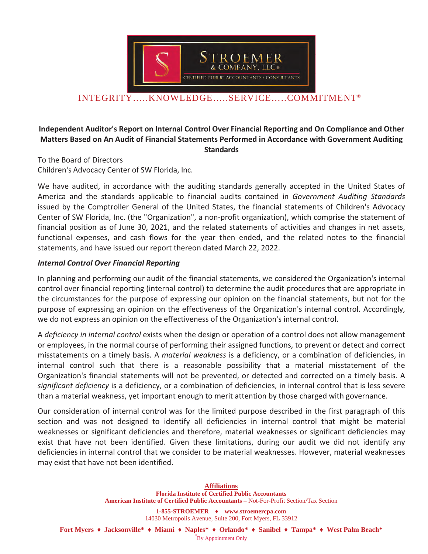

# INTEGRITY…..KNOWLEDGE…..SERVICE…..COMMITMENT®

### **Independent Auditor's Report on Internal Control Over Financial Reporting and On Compliance and Other Matters Based on An Audit of Financial Statements Performed in Accordance with Government Auditing Standards**

To the Board of Directors Children's Advocacy Center of SW Florida, Inc.

We have audited, in accordance with the auditing standards generally accepted in the United States of America and the standards applicable to financial audits contained in *Government Auditing Standards* issued by the Comptroller General of the United States, the financial statements of Children's Advocacy Center of SW Florida, Inc. (the "Organization", a non-profit organization), which comprise the statement of financial position as of June 30, 2021, and the related statements of activities and changes in net assets, functional expenses, and cash flows for the year then ended, and the related notes to the financial statements, and have issued our report thereon dated March 22, 2022.

### *Internal Control Over Financial Reporting*

In planning and performing our audit of the financial statements, we considered the Organization's internal control over financial reporting (internal control) to determine the audit procedures that are appropriate in the circumstances for the purpose of expressing our opinion on the financial statements, but not for the purpose of expressing an opinion on the effectiveness of the Organization's internal control. Accordingly, we do not express an opinion on the effectiveness of the Organization's internal control.

A *deficiency in internal control* exists when the design or operation of a control does not allow management or employees, in the normal course of performing their assigned functions, to prevent or detect and correct misstatements on a timely basis. A *material weakness* is a deficiency, or a combination of deficiencies, in internal control such that there is a reasonable possibility that a material misstatement of the Organization's financial statements will not be prevented, or detected and corrected on a timely basis. A *significant deficiency* is a deficiency, or a combination of deficiencies, in internal control that is less severe than a material weakness, yet important enough to merit attention by those charged with governance.

Our consideration of internal control was for the limited purpose described in the first paragraph of this section and was not designed to identify all deficiencies in internal control that might be material weaknesses or significant deficiencies and therefore, material weaknesses or significant deficiencies may exist that have not been identified. Given these limitations, during our audit we did not identify any deficiencies in internal control that we consider to be material weaknesses. However, material weaknesses may exist that have not been identified.

**1-855-STROEMER Ƈ www.stroemercpa.com**  14030 Metropolis Avenue, Suite 200, Fort Myers, FL 33912

**Fort Myers Ƈ Jacksonville\* Ƈ Miami Ƈ Naples\* Ƈ Orlando\* Ƈ Sanibel Ƈ Tampa\* Ƈ West Palm Beach\* \***

By Appointment Only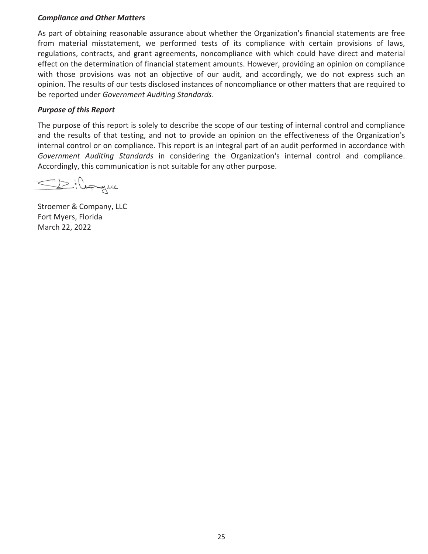## *Compliance and Other Matters*

As part of obtaining reasonable assurance about whether the Organization's financial statements are free from material misstatement, we performed tests of its compliance with certain provisions of laws, regulations, contracts, and grant agreements, noncompliance with which could have direct and material effect on the determination of financial statement amounts. However, providing an opinion on compliance with those provisions was not an objective of our audit, and accordingly, we do not express such an opinion. The results of our tests disclosed instances of noncompliance or other matters that are required to be reported under *Government Auditing Standards*.

## *Purpose of this Report*

The purpose of this report is solely to describe the scope of our testing of internal control and compliance and the results of that testing, and not to provide an opinion on the effectiveness of the Organization's internal control or on compliance. This report is an integral part of an audit performed in accordance with *Government Auditing Standards* in considering the Organization's internal control and compliance. Accordingly, this communication is not suitable for any other purpose.

DE: Corregue

Stroemer & Company, LLC Fort Myers, Florida March 22, 2022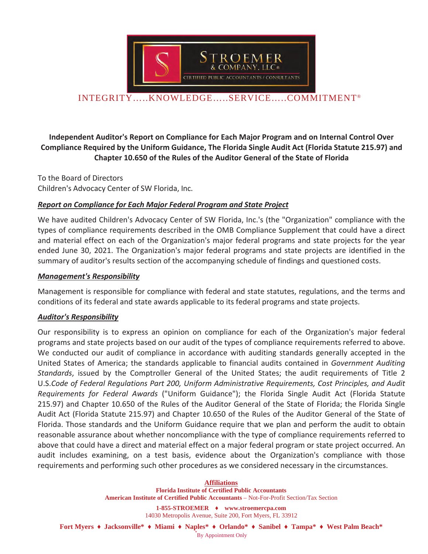

# INTEGRITY…..KNOWLEDGE…..SERVICE…..COMMITMENT®

## **Independent Auditor's Report on Compliance for Each Major Program and on Internal Control Over Compliance Required by the Uniform Guidance, The Florida Single Audit Act (Florida Statute 215.97) and Chapter 10.650 of the Rules of the Auditor General of the State of Florida**

To the Board of Directors Children's Advocacy Center of SW Florida, Inc.

## *Report on Compliance for Each Major Federal Program and State Project*

We have audited Children's Advocacy Center of SW Florida, Inc.'s (the "Organization" compliance with the types of compliance requirements described in the OMB Compliance Supplement that could have a direct and material effect on each of the Organization's major federal programs and state projects for the year ended June 30, 2021. The Organization's major federal programs and state projects are identified in the summary of auditor's results section of the accompanying schedule of findings and questioned costs.

### *Management's Responsibility*

Management is responsible for compliance with federal and state statutes, regulations, and the terms and conditions of its federal and state awards applicable to its federal programs and state projects.

## *Auditor's Responsibility*

Our responsibility is to express an opinion on compliance for each of the Organization's major federal programs and state projects based on our audit of the types of compliance requirements referred to above. We conducted our audit of compliance in accordance with auditing standards generally accepted in the United States of America; the standards applicable to financial audits contained in *Government Auditing Standards*, issued by the Comptroller General of the United States; the audit requirements of Title 2 U.S.*Code of Federal Regulations Part 200, Uniform Administrative Requirements, Cost Principles, and Audit Requirements for Federal Awards* ("Uniform Guidance"); the Florida Single Audit Act (Florida Statute 215.97) and Chapter 10.650 of the Rules of the Auditor General of the State of Florida; the Florida Single Audit Act (Florida Statute 215.97) and Chapter 10.650 of the Rules of the Auditor General of the State of Florida. Those standards and the Uniform Guidance require that we plan and perform the audit to obtain reasonable assurance about whether noncompliance with the type of compliance requirements referred to above that could have a direct and material effect on a major federal program or state project occurred. An audit includes examining, on a test basis, evidence about the Organization's compliance with those requirements and performing such other procedures as we considered necessary in the circumstances.

#### **Affiliations**

**Florida Institute of Certified Public Accountants American Institute of Certified Public Accountants** – Not-For-Profit Section/Tax Section

> **1-855-STROEMER Ƈ www.stroemercpa.com**  14030 Metropolis Avenue, Suite 200, Fort Myers, FL 33912

**Fort Myers Ƈ Jacksonville\* Ƈ Miami Ƈ Naples\* Ƈ Orlando\* Ƈ Sanibel Ƈ Tampa\* Ƈ West Palm Beach\* \***

By Appointment Only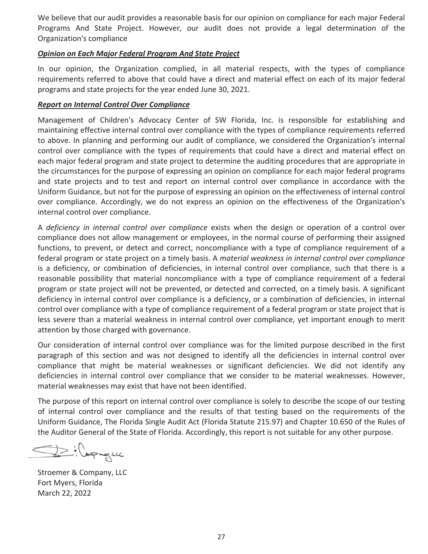We believe that our audit provides a reasonable basis for our opinion on compliance for each major Federal Programs And State Project. However, our audit does not provide a legal determination of the Organization's compliance

## *Opinion on Each Major Federal Program And State Project*

In our opinion, the Organization complied, in all material respects, with the types of compliance requirements referred to above that could have a direct and material effect on each of its major federal programs and state projects for the year ended June 30, 2021.

### *Report on Internal Control Over Compliance*

Management of Children's Advocacy Center of SW Florida, Inc. is responsible for establishing and maintaining effective internal control over compliance with the types of compliance requirements referred to above. In planning and performing our audit of compliance, we considered the Organization's internal control over compliance with the types of requirements that could have a direct and material effect on each major federal program and state project to determine the auditing procedures that are appropriate in the circumstances for the purpose of expressing an opinion on compliance for each major federal programs and state projects and to test and report on internal control over compliance in accordance with the Uniform Guidance, but not for the purpose of expressing an opinion on the effectiveness of internal control over compliance. Accordingly, we do not express an opinion on the effectiveness of the Organization's internal control over compliance.

A *deficiency in internal control over compliance* exists when the design or operation of a control over compliance does not allow management or employees, in the normal course of performing their assigned functions, to prevent, or detect and correct, noncompliance with a type of compliance requirement of a federal program or state project on a timely basis. A *material weakness in internal control over compliance* is a deficiency, or combination of deficiencies, in internal control over compliance, such that there is a reasonable possibility that material noncompliance with a type of compliance requirement of a federal program or state project will not be prevented, or detected and corrected, on a timely basis. A significant deficiency in internal control over compliance is a deficiency, or a combination of deficiencies, in internal control over compliance with a type of compliance requirement of a federal program or state project that is less severe than a material weakness in internal control over compliance, yet important enough to merit attention by those charged with governance.

Our consideration of internal control over compliance was for the limited purpose described in the first paragraph of this section and was not designed to identify all the deficiencies in internal control over compliance that might be material weaknesses or significant deficiencies. We did not identify any deficiencies in internal control over compliance that we consider to be material weaknesses. However, material weaknesses may exist that have not been identified.

The purpose of this report on internal control over compliance is solely to describe the scope of our testing of internal control over compliance and the results of that testing based on the requirements of the Uniform Guidance, The Florida Single Audit Act (Florida Statute 215.97) and Chapter 10.650 of the Rules of the Auditor General of the State of Florida. Accordingly, this report is not suitable for any other purpose.

DE: Corregue

Stroemer & Company, LLC Fort Myers, Florida March 22, 2022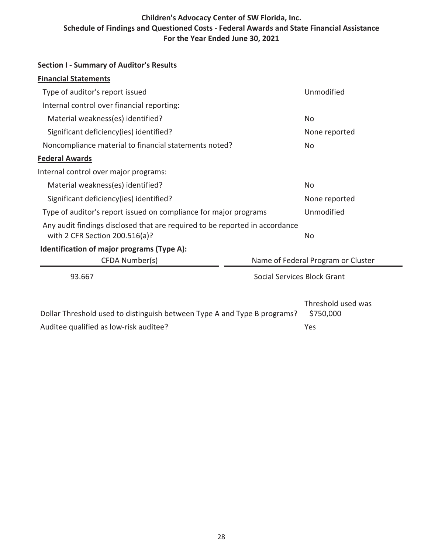## **Children's Advocacy Center of SW Florida, Inc. Schedule of Findings and Questioned CostsͲFederal Awards and State Financial Assistance For the Year Ended June 30, 2021**

## **Section I - Summary of Auditor's Results**

| <b>Financial Statements</b>                                                                                   |                                    |                                    |
|---------------------------------------------------------------------------------------------------------------|------------------------------------|------------------------------------|
| Type of auditor's report issued                                                                               |                                    | Unmodified                         |
| Internal control over financial reporting:                                                                    |                                    |                                    |
| Material weakness(es) identified?                                                                             |                                    | No                                 |
| Significant deficiency(ies) identified?                                                                       |                                    | None reported                      |
| Noncompliance material to financial statements noted?                                                         |                                    | No                                 |
| <b>Federal Awards</b>                                                                                         |                                    |                                    |
| Internal control over major programs:                                                                         |                                    |                                    |
| Material weakness(es) identified?                                                                             |                                    | No                                 |
| Significant deficiency(ies) identified?                                                                       |                                    | None reported                      |
| Type of auditor's report issued on compliance for major programs                                              |                                    | Unmodified                         |
| Any audit findings disclosed that are required to be reported in accordance<br>with 2 CFR Section 200.516(a)? |                                    | No                                 |
| Identification of major programs (Type A):                                                                    |                                    |                                    |
| CFDA Number(s)                                                                                                |                                    | Name of Federal Program or Cluster |
| 93.667                                                                                                        | <b>Social Services Block Grant</b> |                                    |
| Dollar Threshold used to distinguish between Type A and Type B programs?                                      |                                    | Threshold used was<br>\$750,000    |

Auditee qualified as low-risk auditee? Ves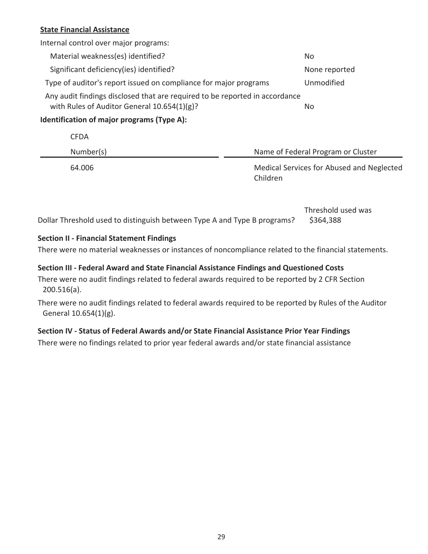## **State Financial Assistance**

| Internal control over major programs:                                                                                      |               |
|----------------------------------------------------------------------------------------------------------------------------|---------------|
| Material weakness(es) identified?                                                                                          | No.           |
| Significant deficiency(ies) identified?                                                                                    | None reported |
| Type of auditor's report issued on compliance for major programs                                                           | Unmodified    |
| Any audit findings disclosed that are required to be reported in accordance<br>with Rules of Auditor General 10.654(1)(g)? | No            |
| エル・フォリピー・エリー ファード・ファー ファー・ファー・ファー エー・エヌ あきし                                                                                |               |

## **Identification of major programs (Type A):**

| <b>CFDA</b> |                                                       |
|-------------|-------------------------------------------------------|
| Number(s)   | Name of Federal Program or Cluster                    |
| 64.006      | Medical Services for Abused and Neglected<br>Children |

|                                                                          | Threshold used was |
|--------------------------------------------------------------------------|--------------------|
| Dollar Threshold used to distinguish between Type A and Type B programs? | \$364,388          |

## **Section II - Financial Statement Findings**

There were no material weaknesses or instances of noncompliance related to the financial statements.

## **Section IIIͲFederal Award and State Financial Assistance Findings and Questioned Costs**

There were no audit findings related to federal awards required to be reported by 2 CFR Section 200.516(a).

There were no audit findings related to federal awards required to be reported by Rules of the Auditor General 10.654(1)(g).

## **Section IVͲStatus of Federal Awards and/or State Financial Assistance Prior Year Findings**

There were no findings related to prior year federal awards and/or state financial assistance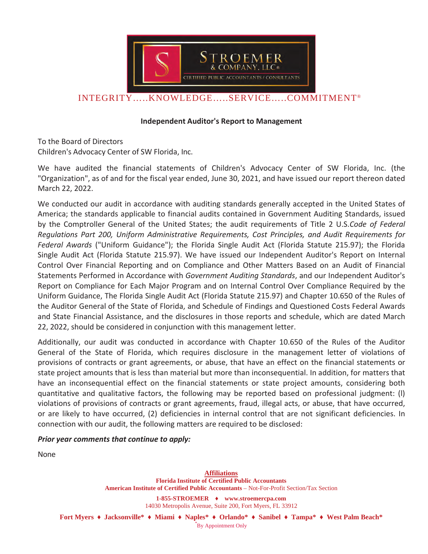

# INTEGRITY…..KNOWLEDGE…..SERVICE…..COMMITMENT®

### **Independent Auditor's Report to Management**

To the Board of Directors Children's Advocacy Center of SW Florida, Inc.

We have audited the financial statements of Children's Advocacy Center of SW Florida, Inc. (the "Organization", as of and for the fiscal year ended, June 30, 2021, and have issued our report thereon dated March 22, 2022.

We conducted our audit in accordance with auditing standards generally accepted in the United States of America; the standards applicable to financial audits contained in Government Auditing Standards, issued by the Comptroller General of the United States; the audit requirements of Title 2 U.S.*Code of Federal Regulations Part 200, Uniform Administrative Requirements, Cost Principles, and Audit Requirements for Federal Awards* ("Uniform Guidance"); the Florida Single Audit Act (Florida Statute 215.97); the Florida Single Audit Act (Florida Statute 215.97). We have issued our Independent Auditor's Report on Internal Control Over Financial Reporting and on Compliance and Other Matters Based on an Audit of Financial Statements Performed in Accordance with *Government Auditing Standards*, and our Independent Auditor's Report on Compliance for Each Major Program and on Internal Control Over Compliance Required by the Uniform Guidance, The Florida Single Audit Act (Florida Statute 215.97) and Chapter 10.650 of the Rules of the Auditor General of the State of Florida, and Schedule of Findings and Questioned Costs Federal Awards and State Financial Assistance, and the disclosures in those reports and schedule, which are dated March 22, 2022, should be considered in conjunction with this management letter.

Additionally, our audit was conducted in accordance with Chapter 10.650 of the Rules of the Auditor General of the State of Florida, which requires disclosure in the management letter of violations of provisions of contracts or grant agreements, or abuse, that have an effect on the financial statements or state project amounts that is less than material but more than inconsequential. In addition, for matters that have an inconsequential effect on the financial statements or state project amounts, considering both quantitative and qualitative factors, the following may be reported based on professional judgment: (l) violations of provisions of contracts or grant agreements, fraud, illegal acts, or abuse, that have occurred, or are likely to have occurred, (2) deficiencies in internal control that are not significant deficiencies. In connection with our audit, the following matters are required to be disclosed:

### *Prior year comments that continue to apply:*

None

**Affiliations Florida Institute of Certified Public Accountants American Institute of Certified Public Accountants** – Not-For-Profit Section/Tax Section

**1-855-STROEMER Ƈ www.stroemercpa.com**  14030 Metropolis Avenue, Suite 200, Fort Myers, FL 33912

**Fort Myers Ƈ Jacksonville\* Ƈ Miami Ƈ Naples\* Ƈ Orlando\* Ƈ Sanibel Ƈ Tampa\* Ƈ West Palm Beach\* \***

By Appointment Only